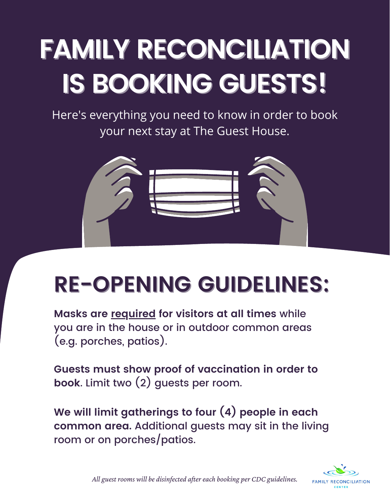## **FAMILY RECONCILIATION IS BOOKING GUESTS!**

Here's everything you need to know in order to book your next stay at The Guest House.



## **RE-OPENING GUIDELINES:**

**Masks are required for visitors at all times** while you are in the house or in outdoor common areas (e.g. porches, patios).

**Guests must show proof of vaccination in order to book**. Limit two (2) guests per room.

**We will limit gatherings to four (4) people in each common area.** Additional guests may sit in the living room or on porches/patios.



*All guest rooms will be disinfected after each booking per CDC guidelines.*